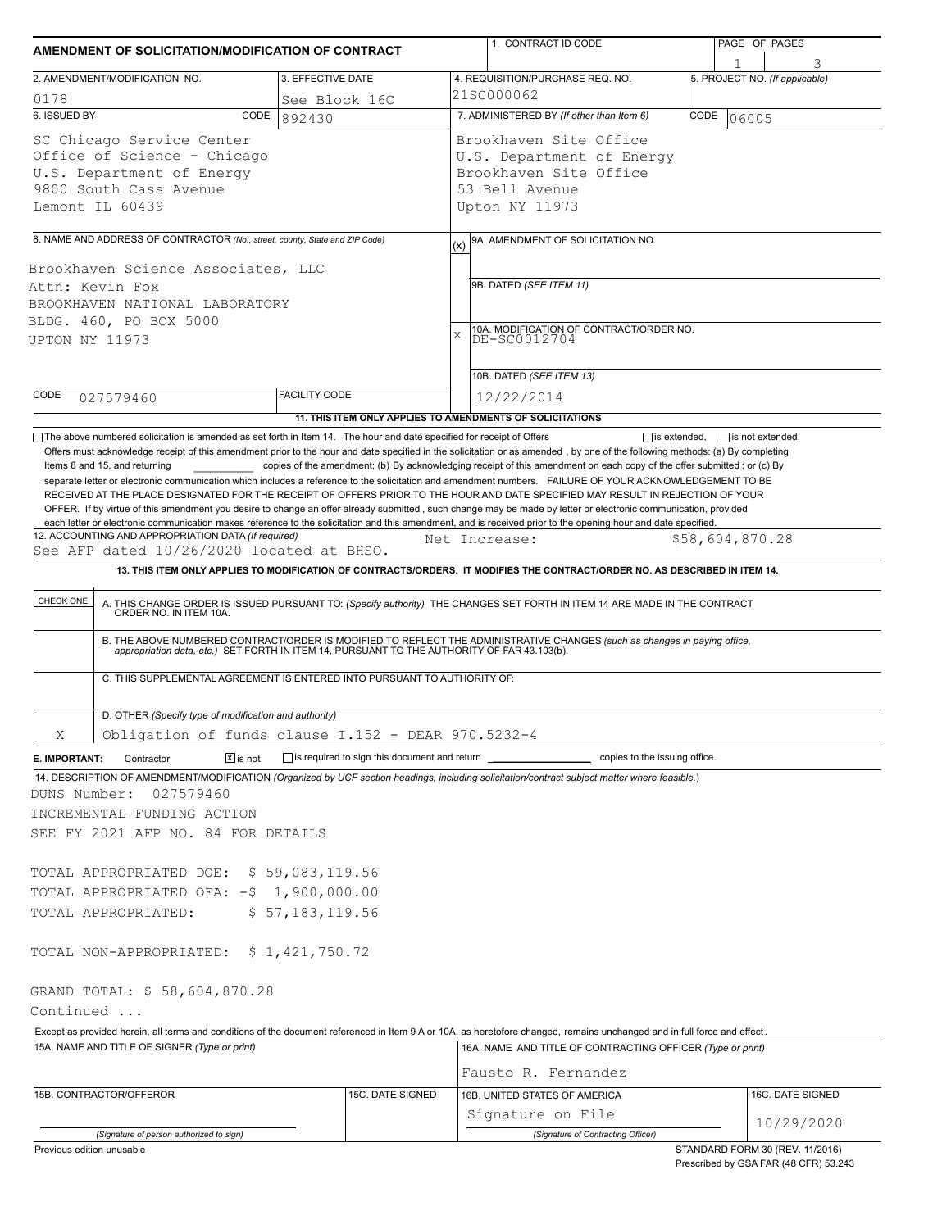| AMENDMENT OF SOLICITATION/MODIFICATION OF CONTRACT                                                                                                                                                                                                                                                                                                                                                                                                                                                                                                                                                                                                             |                      |  | 1. CONTRACT ID CODE                                                                                                                                                                                                      |                 | PAGE OF PAGES                   |  |  |  |
|----------------------------------------------------------------------------------------------------------------------------------------------------------------------------------------------------------------------------------------------------------------------------------------------------------------------------------------------------------------------------------------------------------------------------------------------------------------------------------------------------------------------------------------------------------------------------------------------------------------------------------------------------------------|----------------------|--|--------------------------------------------------------------------------------------------------------------------------------------------------------------------------------------------------------------------------|-----------------|---------------------------------|--|--|--|
| 3. EFFECTIVE DATE<br>2. AMENDMENT/MODIFICATION NO.                                                                                                                                                                                                                                                                                                                                                                                                                                                                                                                                                                                                             |                      |  | 4. REQUISITION/PURCHASE REQ. NO.                                                                                                                                                                                         |                 | 5. PROJECT NO. (If applicable)  |  |  |  |
| 0178                                                                                                                                                                                                                                                                                                                                                                                                                                                                                                                                                                                                                                                           | See Block 16C        |  | 21SC000062                                                                                                                                                                                                               |                 |                                 |  |  |  |
| 6. ISSUED BY<br>CODE                                                                                                                                                                                                                                                                                                                                                                                                                                                                                                                                                                                                                                           | 892430               |  | 7. ADMINISTERED BY (If other than Item 6)<br>CODE<br>06005                                                                                                                                                               |                 |                                 |  |  |  |
| SC Chicago Service Center<br>Office of Science - Chicago<br>U.S. Department of Energy<br>9800 South Cass Avenue<br>Lemont IL 60439                                                                                                                                                                                                                                                                                                                                                                                                                                                                                                                             |                      |  | Brookhaven Site Office<br>U.S. Department of Energy<br>Brookhaven Site Office<br>53 Bell Avenue<br>Upton NY 11973                                                                                                        |                 |                                 |  |  |  |
|                                                                                                                                                                                                                                                                                                                                                                                                                                                                                                                                                                                                                                                                |                      |  | 9A. AMENDMENT OF SOLICITATION NO.                                                                                                                                                                                        |                 |                                 |  |  |  |
| 8. NAME AND ADDRESS OF CONTRACTOR (No., street, county, State and ZIP Code)<br>Brookhaven Science Associates, LLC<br>Attn: Kevin Fox<br>BROOKHAVEN NATIONAL LABORATORY<br>BLDG. 460, PO BOX 5000<br>UPTON NY 11973                                                                                                                                                                                                                                                                                                                                                                                                                                             |                      |  | (x)<br>9B. DATED (SEE ITEM 11)<br>10A. MODIFICATION OF CONTRACT/ORDER NO.<br>DE-SC0012704<br>$\mathbf x$<br>10B. DATED (SEE ITEM 13)                                                                                     |                 |                                 |  |  |  |
| CODE<br>027579460                                                                                                                                                                                                                                                                                                                                                                                                                                                                                                                                                                                                                                              | <b>FACILITY CODE</b> |  | 12/22/2014                                                                                                                                                                                                               |                 |                                 |  |  |  |
|                                                                                                                                                                                                                                                                                                                                                                                                                                                                                                                                                                                                                                                                |                      |  | 11. THIS ITEM ONLY APPLIES TO AMENDMENTS OF SOLICITATIONS                                                                                                                                                                |                 |                                 |  |  |  |
| Items 8 and 15, and returning<br>separate letter or electronic communication which includes a reference to the solicitation and amendment numbers. FAILURE OF YOUR ACKNOWLEDGEMENT TO BE<br>RECEIVED AT THE PLACE DESIGNATED FOR THE RECEIPT OF OFFERS PRIOR TO THE HOUR AND DATE SPECIFIED MAY RESULT IN REJECTION OF YOUR<br>OFFER. If by virtue of this amendment you desire to change an offer already submitted, such change may be made by letter or electronic communication, provided<br>each letter or electronic communication makes reference to the solicitation and this amendment, and is received prior to the opening hour and date specified. |                      |  | copies of the amendment; (b) By acknowledging receipt of this amendment on each copy of the offer submitted; or (c) By                                                                                                   |                 |                                 |  |  |  |
| 12. ACCOUNTING AND APPROPRIATION DATA (If required)<br>See AFP dated 10/26/2020 located at BHSO.                                                                                                                                                                                                                                                                                                                                                                                                                                                                                                                                                               |                      |  | Net Increase:                                                                                                                                                                                                            | \$58,604,870.28 |                                 |  |  |  |
|                                                                                                                                                                                                                                                                                                                                                                                                                                                                                                                                                                                                                                                                |                      |  | 13. THIS ITEM ONLY APPLIES TO MODIFICATION OF CONTRACTS/ORDERS. IT MODIFIES THE CONTRACT/ORDER NO. AS DESCRIBED IN ITEM 14.                                                                                              |                 |                                 |  |  |  |
| C. THIS SUPPLEMENTAL AGREEMENT IS ENTERED INTO PURSUANT TO AUTHORITY OF:                                                                                                                                                                                                                                                                                                                                                                                                                                                                                                                                                                                       |                      |  | B. THE ABOVE NUMBERED CONTRACT/ORDER IS MODIFIED TO REFLECT THE ADMINISTRATIVE CHANGES (such as changes in paying office,<br>appropriation data, etc.) SET FORTH IN ITEM 14, PURSUANT TO THE AUTHORITY OF FAR 43.103(b). |                 |                                 |  |  |  |
| D. OTHER (Specify type of modification and authority)                                                                                                                                                                                                                                                                                                                                                                                                                                                                                                                                                                                                          |                      |  |                                                                                                                                                                                                                          |                 |                                 |  |  |  |
| Obligation of funds clause I.152 - DEAR 970.5232-4<br>Χ                                                                                                                                                                                                                                                                                                                                                                                                                                                                                                                                                                                                        |                      |  |                                                                                                                                                                                                                          |                 |                                 |  |  |  |
| $\boxed{\mathsf{x}}$ is not<br>Contractor<br>E. IMPORTANT:                                                                                                                                                                                                                                                                                                                                                                                                                                                                                                                                                                                                     |                      |  | is required to sign this document and return ____________________________ copies to the issuing office.                                                                                                                  |                 |                                 |  |  |  |
| 14. DESCRIPTION OF AMENDMENT/MODIFICATION (Organized by UCF section headings, including solicitation/contract subject matter where feasible.)<br>027579460<br>DUNS Number:<br>INCREMENTAL FUNDING ACTION<br>SEE FY 2021 AFP NO. 84 FOR DETAILS<br>TOTAL APPROPRIATED DOE: \$59,083,119.56<br>TOTAL APPROPRIATED OFA: -\$ 1,900,000.00<br>TOTAL APPROPRIATED:                                                                                                                                                                                                                                                                                                   | \$57,183,119.56      |  |                                                                                                                                                                                                                          |                 |                                 |  |  |  |
| TOTAL NON-APPROPRIATED: \$1,421,750.72                                                                                                                                                                                                                                                                                                                                                                                                                                                                                                                                                                                                                         |                      |  |                                                                                                                                                                                                                          |                 |                                 |  |  |  |
| GRAND TOTAL: \$ 58,604,870.28                                                                                                                                                                                                                                                                                                                                                                                                                                                                                                                                                                                                                                  |                      |  |                                                                                                                                                                                                                          |                 |                                 |  |  |  |
| Continued                                                                                                                                                                                                                                                                                                                                                                                                                                                                                                                                                                                                                                                      |                      |  |                                                                                                                                                                                                                          |                 |                                 |  |  |  |
| Except as provided herein, all terms and conditions of the document referenced in Item 9 A or 10A, as heretofore changed, remains unchanged and in full force and effect.<br>15A. NAME AND TITLE OF SIGNER (Type or print)                                                                                                                                                                                                                                                                                                                                                                                                                                     |                      |  | 16A. NAME AND TITLE OF CONTRACTING OFFICER (Type or print)                                                                                                                                                               |                 |                                 |  |  |  |
|                                                                                                                                                                                                                                                                                                                                                                                                                                                                                                                                                                                                                                                                |                      |  | Fausto R. Fernandez                                                                                                                                                                                                      |                 |                                 |  |  |  |
| 15B. CONTRACTOR/OFFEROR<br>15C. DATE SIGNED                                                                                                                                                                                                                                                                                                                                                                                                                                                                                                                                                                                                                    |                      |  | 16B. UNITED STATES OF AMERICA<br>Signature on File                                                                                                                                                                       |                 | 16C. DATE SIGNED                |  |  |  |
| (Signature of person authorized to sign)                                                                                                                                                                                                                                                                                                                                                                                                                                                                                                                                                                                                                       |                      |  | (Signature of Contracting Officer)                                                                                                                                                                                       |                 | 10/29/2020                      |  |  |  |
| Previous edition unusable                                                                                                                                                                                                                                                                                                                                                                                                                                                                                                                                                                                                                                      |                      |  |                                                                                                                                                                                                                          |                 | STANDARD FORM 30 (REV. 11/2016) |  |  |  |

Prescribed by GSA FAR (48 CFR) 53.243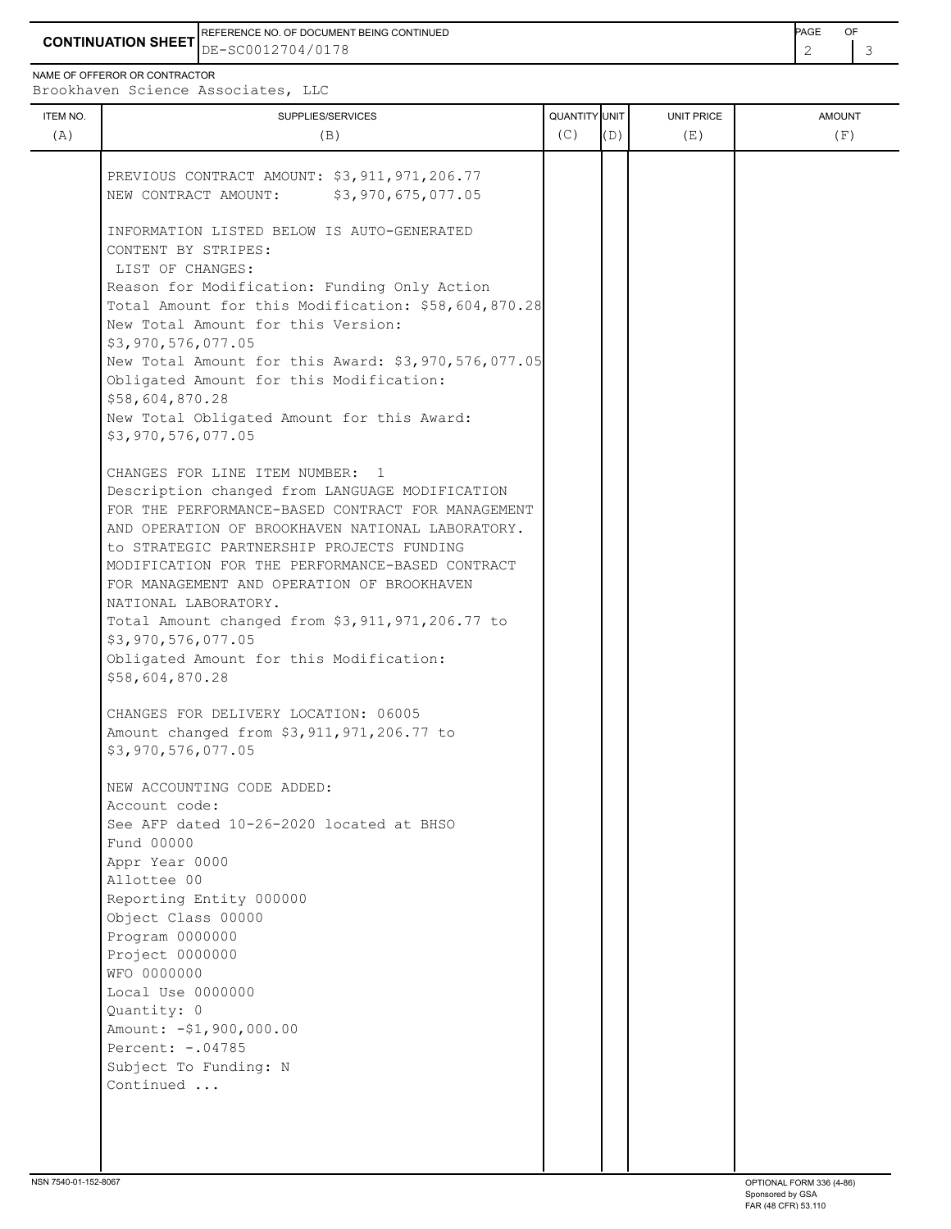**CONTINUATION SHEET** DE-SC0012704/0178 REFERENCE NO. OF DOCUMENT BEING CONTINUED **A CONTROL CONTINUED PAGE OF PAGE** OF

NAME OF OFFEROR OR CONTRACTOR

\$3,970,576,077.05

\$58,604,870.28

ITEM NO. ┃ SUPPLIES/SERVICES UNIT PRICE AMOUNT Brookhaven Science Associates, LLC (A)  $(B)$  (B)  $(C)$   $(D)$  (E)  $(E)$  (F) PREVIOUS CONTRACT AMOUNT: \$3,911,971,206.77 NEW CONTRACT AMOUNT: \$3,970,675,077.05 INFORMATION LISTED BELOW IS AUTO-GENERATED CONTENT BY STRIPES: LIST OF CHANGES: Reason for Modification: Funding Only Action Total Amount for this Modification: \$58,604,870.28 New Total Amount for this Version: \$3,970,576,077.05 New Total Amount for this Award: \$3,970,576,077.05 Obligated Amount for this Modification: \$58,604,870.28 New Total Obligated Amount for this Award:

CHANGES FOR LINE ITEM NUMBER: 1 Description changed from LANGUAGE MODIFICATION FOR THE PERFORMANCE-BASED CONTRACT FOR MANAGEMENT AND OPERATION OF BROOKHAVEN NATIONAL LABORATORY. to STRATEGIC PARTNERSHIP PROJECTS FUNDING MODIFICATION FOR THE PERFORMANCE-BASED CONTRACT FOR MANAGEMENT AND OPERATION OF BROOKHAVEN NATIONAL LABORATORY. Total Amount changed from \$3,911,971,206.77 to \$3,970,576,077.05 Obligated Amount for this Modification:

CHANGES FOR DELIVERY LOCATION: 06005 Amount changed from \$3,911,971,206.77 to \$3,970,576,077.05

NEW ACCOUNTING CODE ADDED: Account code: See AFP dated 10-26-2020 located at BHSO Fund 00000 Appr Year 0000 Allottee 00 Reporting Entity 000000 Object Class 00000 Program 0000000 Project 0000000 WFO 0000000 Local Use 0000000 Quantity: 0 Amount: -\$1,900,000.00 Percent: -. 04785 Subject To Funding: N Continued ...